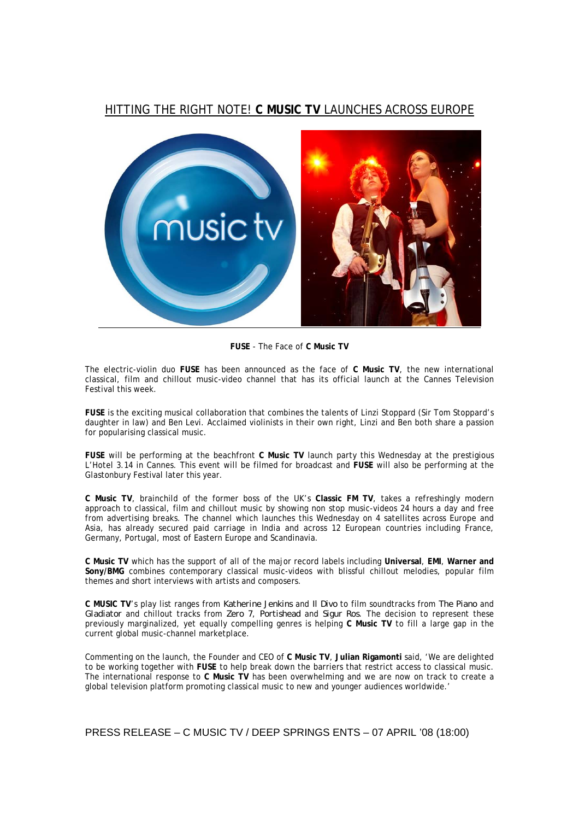# HITTING THE RIGHT NOTE! **C MUSIC TV** LAUNCHES ACROSS EUROPE



**FUSE** - The Face of **C Music TV** 

The electric-violin duo **FUSE** has been announced as the face of **C Music TV**, the new international classical, film and chillout music-video channel that has its official launch at the Cannes Television Festival this week.

**FUSE** is the exciting musical collaboration that combines the talents of Linzi Stoppard (Sir Tom Stoppard's daughter in law) and Ben Levi. Acclaimed violinists in their own right, Linzi and Ben both share a passion for popularising classical music.

**FUSE** will be performing at the beachfront **C Music TV** launch party this Wednesday at the prestigious L'Hotel 3.14 in Cannes. This event will be filmed for broadcast and **FUSE** will also be performing at the Glastonbury Festival later this year.

**C Music TV**, brainchild of the former boss of the UK's **Classic FM TV**, takes a refreshingly modern approach to classical, film and chillout music by showing non stop music-videos 24 hours a day and free from advertising breaks. The channel which launches this Wednesday on 4 satellites across Europe and Asia, has already secured paid carriage in India and across 12 European countries including France, Germany, Portugal, most of Eastern Europe and Scandinavia.

**C Music TV** which has the support of all of the major record labels including **Universal**, **EMI**, **Warner and Sony/BMG** combines contemporary classical music-videos with blissful chillout melodies, popular film themes and short interviews with artists and composers.

**C MUSIC TV**'s play list ranges from *Katherine Jenkins* and *Il Divo* to film soundtracks from *The Piano* and *Gladiator* and chillout tracks from *Zero 7*, *Portishead* and *Sigur Ros*. The decision to represent these previously marginalized, yet equally compelling genres is helping **C Music TV** to fill a large gap in the current global music-channel marketplace.

Commenting on the launch, the Founder and CEO of **C Music TV**, **Julian Rigamonti** said, 'We are delighted to be working together with **FUSE** to help break down the barriers that restrict access to classical music. The international response to **C Music TV** has been overwhelming and we are now on track to create a global television platform promoting classical music to new and younger audiences worldwide.'

PRESS RELEASE – C MUSIC TV / DEEP SPRINGS ENTS – 07 APRIL '08 (18:00)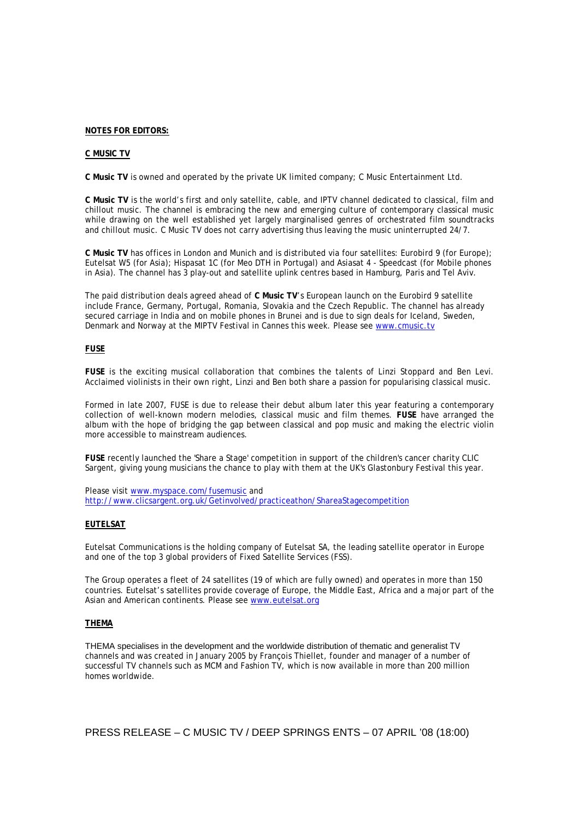#### **NOTES FOR EDITORS:**

### **C MUSIC TV**

**C Music TV** is owned and operated by the private UK limited company; C Music Entertainment Ltd.

**C Music TV** is the world's first and only satellite, cable, and IPTV channel dedicated to classical, film and chillout music. The channel is embracing the new and emerging culture of contemporary classical music while drawing on the well established yet largely marginalised genres of orchestrated film soundtracks and chillout music. C Music TV does not carry advertising thus leaving the music uninterrupted 24/7.

**C Music TV** has offices in London and Munich and is distributed via four satellites: Eurobird 9 (for Europe); Eutelsat W5 (for Asia); Hispasat 1C (for Meo DTH in Portugal) and Asiasat 4 - Speedcast (for Mobile phones in Asia). The channel has 3 play-out and satellite uplink centres based in Hamburg, Paris and Tel Aviv.

The paid distribution deals agreed ahead of **C Music TV**'s European launch on the Eurobird 9 satellite include France, Germany, Portugal, Romania, Slovakia and the Czech Republic. The channel has already secured carriage in India and on mobile phones in Brunei and is due to sign deals for Iceland, Sweden, Denmark and Norway at the MIPTV Festival in Cannes this week. Please see www.cmusic.tv

## **FUSE**

**FUSE** is the exciting musical collaboration that combines the talents of Linzi Stoppard and Ben Levi. Acclaimed violinists in their own right, Linzi and Ben both share a passion for popularising classical music.

Formed in late 2007, FUSE is due to release their debut album later this year featuring a contemporary collection of well-known modern melodies, classical music and film themes. **FUSE** have arranged the album with the hope of bridging the gap between classical and pop music and making the electric violin more accessible to mainstream audiences.

**FUSE** recently launched the 'Share a Stage' competition in support of the children's cancer charity CLIC Sargent, giving young musicians the chance to play with them at the UK's Glastonbury Festival this year.

Please visit www.myspace.com/fusemusic and http://www.clicsargent.org.uk/Getinvolved/practiceathon/ShareaStagecompetition

## **EUTELSAT**

Eutelsat Communications is the holding company of Eutelsat SA, the leading satellite operator in Europe and one of the top 3 global providers of Fixed Satellite Services (FSS).

The Group operates a fleet of 24 satellites (19 of which are fully owned) and operates in more than 150 countries. Eutelsat's satellites provide coverage of Europe, the Middle East, Africa and a major part of the Asian and American continents. Please see www.eutelsat.org

## **THEMA**

THEMA specialises in the development and the worldwide distribution of thematic and generalist TV channels and was created in January 2005 by François Thiellet, founder and manager of a number of successful TV channels such as MCM and Fashion TV, which is now available in more than 200 million homes worldwide.

PRESS RELEASE – C MUSIC TV / DEEP SPRINGS ENTS – 07 APRIL '08 (18:00)